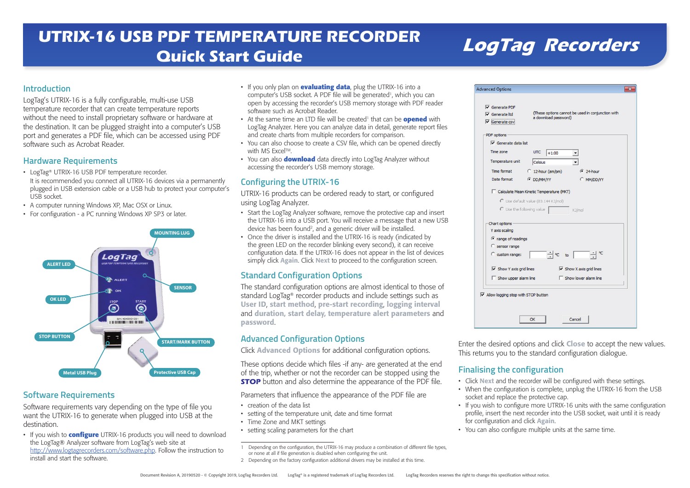# **LogTag Recorders UTRIX-16 USB PDF TEMPERATURE RECORDER Quick Start Guide**

#### **Introduction**

LogTag's UTRIX-16 is a fully configurable, multi-use USB temperature recorder that can create temperature reports without the need to install proprietary software or hardware at the destination. It can be plugged straight into a computer's USB port and generates a PDF file, which can be accessed using PDF software such as Acrobat Reader.

#### **Hardware Requirements**

- LogTag® UTRIX-16 USB PDF temperature recorder. It is recommended you connect all UTRIX-16 devices via a permanently plugged in USB extension cable or a USB hub to protect your computer's USB socket.
- A computer running Windows XP, Mac OSX or Linux.
- For configuration a PC running Windows XP SP3 or later.



#### **Software Requirements**

Software requirements vary depending on the type of file you want the UTRIX-16 to generate when plugged into USB at the destination.

• If you wish to **configure** UTRIX-16 products you will need to download the LogTag® Analyzer software from LogTag's web site at http://www.logtagrecorders.com/software.php. Follow the instruction to install and start the software.

- If you only plan on **evaluating data**, plug the UTRIX-16 into a computer's USB socket. A PDF file will be generated<sup>1</sup>, which you can open by accessing the recorder's USB memory storage with PDF reader software such as Acrobat Reader.
- At the same time an LTD file will be created<sup>1</sup> that can be **opened** with LogTag Analyzer. Here you can analyze data in detail, generate report files and create charts from multiple recorders for comparison.
- You can also choose to create a CSV file, which can be opened directly with MS Excel™.
- You can also **download** data directly into LogTag Analyzer without accessing the recorder's USB memory storage.

## **Configuring the UTRIX-16**

UTRIX-16 products can be ordered ready to start, or configured using LogTag Analyzer.

- Start the LogTag Analyzer software, remove the protective cap and insert the UTRIX-16 into a USB port. You will receive a message that a new USB device has been found<sup>2</sup>, and a generic driver will be installed.
- Once the driver is installed and the UTRIX-16 is ready (indicated by the green LED on the recorder blinking every second), it can receive configuration data. If the UTRIX-16 does not appear in the list of devices simply click Again. Click Next to proceed to the configuration screen.

## **Standard Configuration Options**

The standard configuration options are almost identical to those of standard LogTag® recorder products and include settings such as User ID, start method, pre-start recording, logging interval and duration, start delay, temperature alert parameters and password.

# **Advanced Configuration Options**

Click Advanced Options for additional configuration options.

These options decide which files -if any- are generated at the end of the trip, whether or not the recorder can be stopped using the **STOP** button and also determine the appearance of the PDF file.

Parameters that influence the appearance of the PDF file are

- creation of the data list
- setting of the temperature unit, date and time format
- Time Zone and MKT settings
- setting scaling parameters for the chart

| Depending on the configuration, the UTRIX-16 may produce a combination of different file types, |
|-------------------------------------------------------------------------------------------------|
| or none at all if file generation is disabled when configuring the unit.                        |

2 Depending on the factory configuration additional drivers may be installed at this time.

| $\overline{\mathsf{v}}$ Generate Itd.<br>$\overline{\mathsf{v}}$ Generate csv | a download password)                | (These options cannot be used in conjunction with |
|-------------------------------------------------------------------------------|-------------------------------------|---------------------------------------------------|
|                                                                               |                                     |                                                   |
| PDF options                                                                   |                                     |                                                   |
| $\nabla$ Generate data list                                                   |                                     |                                                   |
| Time zone                                                                     | UTC<br>$+1:00$                      |                                                   |
| Temperature unit                                                              | Celsius                             |                                                   |
| Time format                                                                   | $C$ 12-hour (am/pm)                 | $624$ hour                                        |
| Date format                                                                   | <b>C</b> DD/MM/YY                   | C MM/DD/YY                                        |
| $\mathbb C$ Use the following value                                           | C Use default value (83.144 KJ/mol) | KJ/mol                                            |
| Chart options                                                                 |                                     |                                                   |
| Y axis scaling                                                                |                                     |                                                   |
| C range of readings                                                           |                                     |                                                   |
| C sensor range                                                                |                                     |                                                   |
| C custom range:                                                               | $\div$ $\in$ to $\Box$              | ٩C                                                |
| $\overline{\vee}$ Show Y axis grid lines                                      |                                     | $\overline{\vee}$ Show X axis grid lines          |
| $\Box$ Show upper alarm line                                                  |                                     | Show lower alarm line                             |
|                                                                               |                                     |                                                   |
|                                                                               |                                     |                                                   |

Enter the desired options and click Close to accept the new values. This returns you to the standard configuration dialogue.

# **Finalising the configuration**

- Click Next and the recorder will be configured with these settings.
- When the configuration is complete, unplug the UTRIX-16 from the USB socket and replace the protective cap.
- If you wish to configure more UTRIX-16 units with the same configuration profile, insert the next recorder into the USB socket, wait until it is ready for configuration and click Again.
- You can also configure multiple units at the same time.